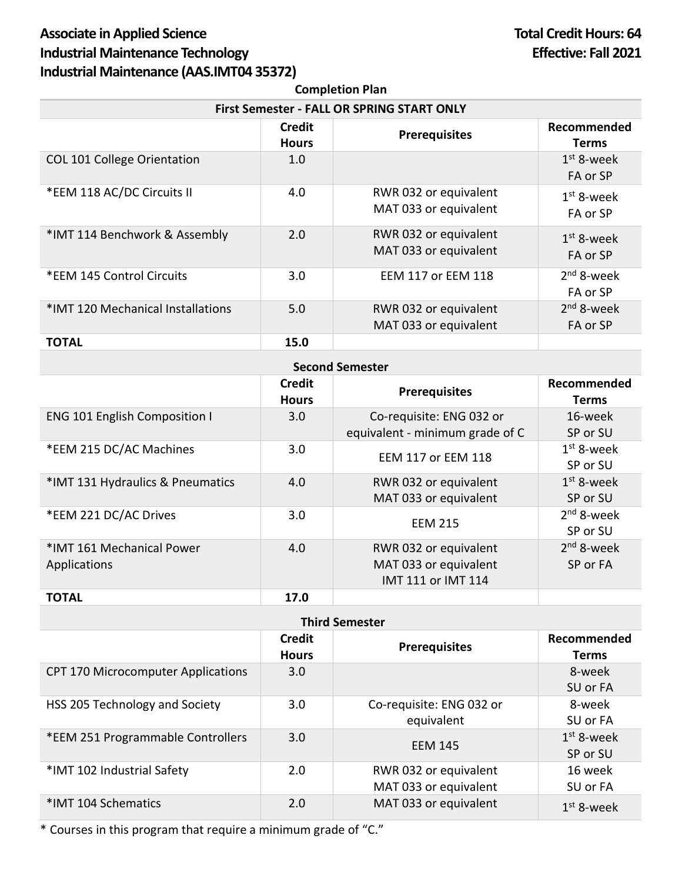## Associate in Applied Science **Total Credit Hours: 64 Industrial Maintenance Technology Effective: Fall 2021 Industrial Maintenance (AAS.IMT04 35372)**

| <b>Completion Plan</b>                            |                        |                                                |                             |  |  |  |
|---------------------------------------------------|------------------------|------------------------------------------------|-----------------------------|--|--|--|
| <b>First Semester - FALL OR SPRING START ONLY</b> |                        |                                                |                             |  |  |  |
|                                                   | Credit<br><b>Hours</b> | <b>Prerequisites</b>                           | Recommended<br><b>Terms</b> |  |  |  |
| COL 101 College Orientation                       | 1.0                    |                                                | $1st$ 8-week<br>FA or SP    |  |  |  |
| *EEM 118 AC/DC Circuits II                        | 4.0                    | RWR 032 or equivalent<br>MAT 033 or equivalent | $1st$ 8-week<br>FA or SP    |  |  |  |
| *IMT 114 Benchwork & Assembly                     | 2.0                    | RWR 032 or equivalent<br>MAT 033 or equivalent | $1st$ 8-week<br>FA or SP    |  |  |  |
| *EEM 145 Control Circuits                         | 3.0                    | <b>EEM 117 or EEM 118</b>                      | $2nd$ 8-week<br>FA or SP    |  |  |  |
| *IMT 120 Mechanical Installations                 | 5.0                    | RWR 032 or equivalent<br>MAT 033 or equivalent | $2nd$ 8-week<br>FA or SP    |  |  |  |
| <b>TOTAL</b>                                      | 15.0                   |                                                |                             |  |  |  |
|                                                   |                        |                                                |                             |  |  |  |

| <b>Second Semester</b>                    |                               |                                                                      |                             |  |  |  |
|-------------------------------------------|-------------------------------|----------------------------------------------------------------------|-----------------------------|--|--|--|
|                                           | <b>Credit</b><br><b>Hours</b> | <b>Prerequisites</b>                                                 | Recommended<br><b>Terms</b> |  |  |  |
| <b>ENG 101 English Composition I</b>      | 3.0                           | Co-requisite: ENG 032 or<br>equivalent - minimum grade of C          | 16-week<br>SP or SU         |  |  |  |
| *EEM 215 DC/AC Machines                   | 3.0                           | EEM 117 or EEM 118                                                   | $1st$ 8-week<br>SP or SU    |  |  |  |
| *IMT 131 Hydraulics & Pneumatics          | 4.0                           | RWR 032 or equivalent<br>MAT 033 or equivalent                       | $1st$ 8-week<br>SP or SU    |  |  |  |
| *EEM 221 DC/AC Drives                     | 3.0                           | <b>EEM 215</b>                                                       | $2nd$ 8-week<br>SP or SU    |  |  |  |
| *IMT 161 Mechanical Power<br>Applications | 4.0                           | RWR 032 or equivalent<br>MAT 033 or equivalent<br>IMT 111 or IMT 114 | $2nd$ 8-week<br>SP or FA    |  |  |  |
| <b>TOTAL</b>                              | 17.0                          |                                                                      |                             |  |  |  |

| <b>Third Semester</b>                     |                               |                                                |                             |  |  |
|-------------------------------------------|-------------------------------|------------------------------------------------|-----------------------------|--|--|
|                                           | <b>Credit</b><br><b>Hours</b> | <b>Prerequisites</b>                           | Recommended<br><b>Terms</b> |  |  |
| <b>CPT 170 Microcomputer Applications</b> | 3.0                           |                                                | 8-week<br>SU or FA          |  |  |
| HSS 205 Technology and Society            | 3.0                           | Co-requisite: ENG 032 or<br>equivalent         | 8-week<br>SU or FA          |  |  |
| *EEM 251 Programmable Controllers         | 3.0                           | <b>EEM 145</b>                                 | $1st$ 8-week<br>SP or SU    |  |  |
| *IMT 102 Industrial Safety                | 2.0                           | RWR 032 or equivalent<br>MAT 033 or equivalent | 16 week<br>SU or FA         |  |  |
| *IMT 104 Schematics                       | 2.0                           | MAT 033 or equivalent                          | $1st$ 8-week                |  |  |

\* Courses in this program that require a minimum grade of "C."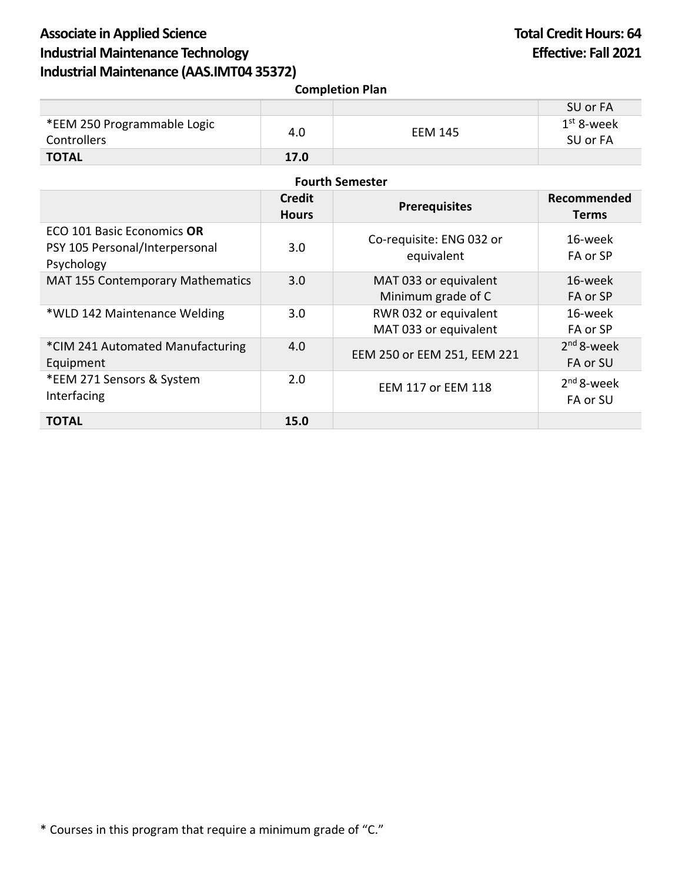## Associate in Applied Science **Total Credit Hours: 64 Industrial Maintenance Technology Effective: Fall 2021 Industrial Maintenance (AAS.IMT04 35372)**

| <b>Completion Plan</b>                                                     |                               |                                                |                             |  |  |  |
|----------------------------------------------------------------------------|-------------------------------|------------------------------------------------|-----------------------------|--|--|--|
|                                                                            |                               |                                                | SU or FA                    |  |  |  |
| *EEM 250 Programmable Logic<br><b>Controllers</b>                          | 4.0                           | <b>EEM 145</b>                                 | $1st$ 8-week<br>SU or FA    |  |  |  |
| <b>TOTAL</b>                                                               | 17.0                          |                                                |                             |  |  |  |
| <b>Fourth Semester</b>                                                     |                               |                                                |                             |  |  |  |
|                                                                            | <b>Credit</b><br><b>Hours</b> | <b>Prerequisites</b>                           | Recommended<br><b>Terms</b> |  |  |  |
| ECO 101 Basic Economics OR<br>PSY 105 Personal/Interpersonal<br>Psychology | 3.0                           | Co-requisite: ENG 032 or<br>equivalent         | 16-week<br>FA or SP         |  |  |  |
| <b>MAT 155 Contemporary Mathematics</b>                                    | 3.0                           | MAT 033 or equivalent<br>Minimum grade of C    | 16-week<br>FA or SP         |  |  |  |
| *WLD 142 Maintenance Welding                                               | 3.0                           | RWR 032 or equivalent<br>MAT 033 or equivalent | 16-week<br>FA or SP         |  |  |  |
| *CIM 241 Automated Manufacturing<br>Equipment                              | 4.0                           | EEM 250 or EEM 251, EEM 221                    | $2nd$ 8-week<br>FA or SU    |  |  |  |
| *EEM 271 Sensors & System<br>Interfacing                                   | 2.0                           | <b>EEM 117 or EEM 118</b>                      | $2nd 8$ -week<br>FA or SU   |  |  |  |
| <b>TOTAL</b>                                                               | 15.0                          |                                                |                             |  |  |  |